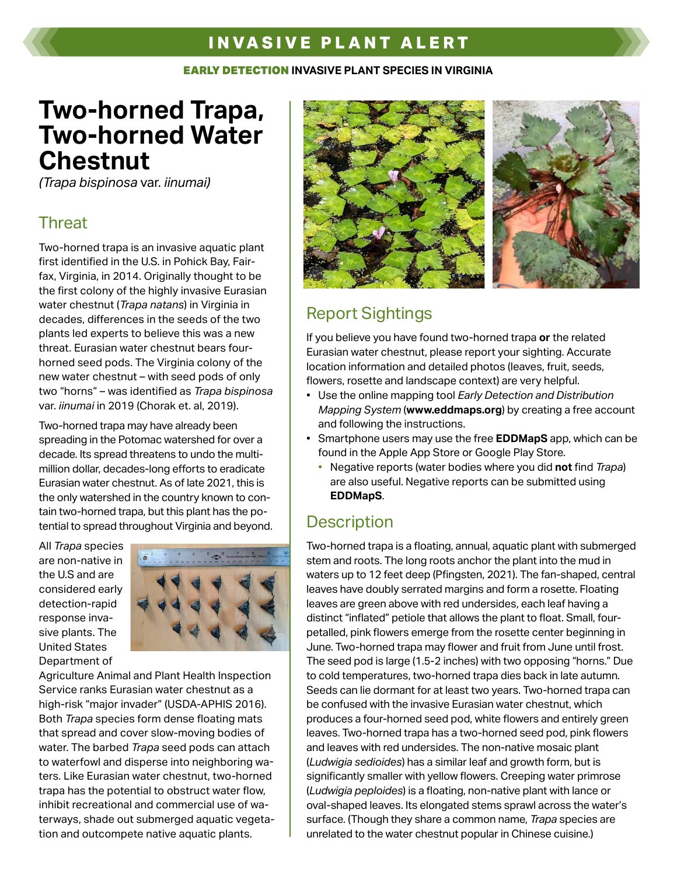## **INVASIVE PLANT ALERT**

#### EARLY DETECTION **INVASIVE PLANT SPECIES IN VIRGINIA**

# **Two-horned Trapa, Two-horned Water Chestnut**

*(Trapa bispinosa* var. *iinumai)*

#### **Threat**

Two-horned trapa is an invasive aquatic plant first identified in the U.S. in Pohick Bay, Fairfax, Virginia, in 2014. Originally thought to be the first colony of the highly invasive Eurasian water chestnut (*Trapa natans*) in Virginia in decades, differences in the seeds of the two plants led experts to believe this was a new threat. Eurasian water chestnut bears fourhorned seed pods. The Virginia colony of the new water chestnut – with seed pods of only two "horns" – was identified as *Trapa bispinosa* var. *iinumai* in 2019 (Chorak et. al, 2019).

Two-horned trapa may have already been spreading in the Potomac watershed for over a decade. Its spread threatens to undo the multimillion dollar, decades-long efforts to eradicate Eurasian water chestnut. As of late 2021, this is the only watershed in the country known to contain two-horned trapa, but this plant has the potential to spread throughout Virginia and beyond.

All *Trapa* species are non-native in the U.S and are considered early detection-rapid response invasive plants. The United States Department of



Agriculture Animal and Plant Health Inspection Service ranks Eurasian water chestnut as a high-risk "major invader" (USDA-APHIS 2016). Both *Trapa* species form dense floating mats that spread and cover slow-moving bodies of water. The barbed *Trapa* seed pods can attach to waterfowl and disperse into neighboring waters. Like Eurasian water chestnut, two-horned trapa has the potential to obstruct water flow, inhibit recreational and commercial use of waterways, shade out submerged aquatic vegetation and outcompete native aquatic plants.



## Report Sightings

If you believe you have found two-horned trapa **or** the related Eurasian water chestnut, please report your sighting. Accurate location information and detailed photos (leaves, fruit, seeds, flowers, rosette and landscape context) are very helpful.

- Use the online mapping tool *Early Detection and Distribution Mapping System* (**www.eddmaps.org**) by creating a free account and following the instructions.
- Smartphone users may use the free **EDDMapS** app, which can be found in the Apple App Store or Google Play Store.
	- Negative reports (water bodies where you did **not** find *Trapa*) are also useful. Negative reports can be submitted using **EDDMapS**.

## **Description**

Two-horned trapa is a floating, annual, aquatic plant with submerged stem and roots. The long roots anchor the plant into the mud in waters up to 12 feet deep (Pfingsten, 2021). The fan-shaped, central leaves have doubly serrated margins and form a rosette. Floating leaves are green above with red undersides, each leaf having a distinct "inflated" petiole that allows the plant to float. Small, fourpetalled, pink flowers emerge from the rosette center beginning in June. Two-horned trapa may flower and fruit from June until frost. The seed pod is large (1.5-2 inches) with two opposing "horns." Due to cold temperatures, two-horned trapa dies back in late autumn. Seeds can lie dormant for at least two years. Two-horned trapa can be confused with the invasive Eurasian water chestnut, which produces a four-horned seed pod, white flowers and entirely green leaves. Two-horned trapa has a two-horned seed pod, pink flowers and leaves with red undersides. The non-native mosaic plant (*Ludwigia sedioides*) has a similar leaf and growth form, but is significantly smaller with yellow flowers. Creeping water primrose (*Ludwigia peploides*) is a floating, non-native plant with lance or oval-shaped leaves. Its elongated stems sprawl across the water's surface. (Though they share a common name, *Trapa* species are unrelated to the water chestnut popular in Chinese cuisine.)